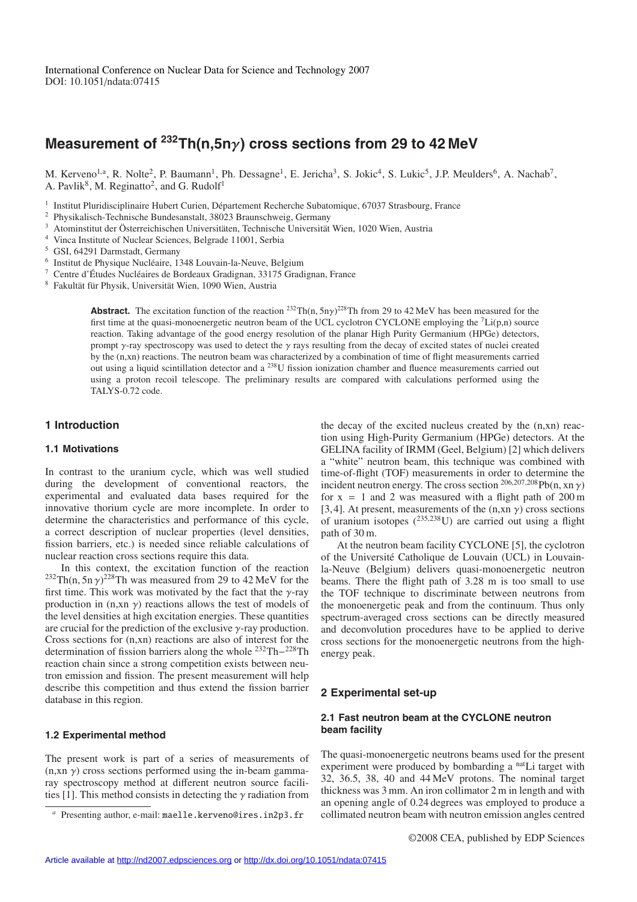# **Measurement of 232Th(n,5n**γ**) cross sections from 29 to 42 MeV**

M. Kerveno<sup>1,a</sup>, R. Nolte<sup>2</sup>, P. Baumann<sup>1</sup>, Ph. Dessagne<sup>1</sup>, E. Jericha<sup>3</sup>, S. Jokic<sup>4</sup>, S. Lukic<sup>5</sup>, J.P. Meulders<sup>6</sup>, A. Nachab<sup>7</sup>, A. Pavlik<sup>8</sup>, M. Reginatto<sup>2</sup>, and G. Rudolf<sup>1</sup>

<sup>1</sup> Institut Pluridisciplinaire Hubert Curien, Département Recherche Subatomique, 67037 Strasbourg, France

<sup>2</sup> Physikalisch-Technische Bundesanstalt, 38023 Braunschweig, Germany

- <sup>3</sup> Atominstitut der Österreichischen Universitäten, Technische Universität Wien, 1020 Wien, Austria
- <sup>4</sup> Vinca Institute of Nuclear Sciences, Belgrade 11001, Serbia
- <sup>5</sup> GSI, 64291 Darmstadt, Germany
- $6$  Institut de Physique Nucléaire, 1348 Louvain-la-Neuve, Belgium

<sup>7</sup> Centre d'Études Nucléaires de Bordeaux Gradignan, 33175 Gradignan, France

<sup>8</sup> Fakultät für Physik, Universität Wien, 1090 Wien, Austria

**Abstract.** The excitation function of the reaction  $^{232}Th(n, 5n\gamma)^{228}Th$  from 29 to 42 MeV has been measured for the first time at the quasi-monoenergetic neutron beam of the UCL cyclotron CYCLONE employing the  $^7$ Li(p,n) source reaction. Taking advantage of the good energy resolution of the planar High Purity Germanium (HPGe) detectors, prompt  $\gamma$ -ray spectroscopy was used to detect the  $\gamma$  rays resulting from the decay of excited states of nuclei created by the (n,xn) reactions. The neutron beam was characterized by a combination of time of flight measurements carried out using a liquid scintillation detector and a 238U fission ionization chamber and fluence measurements carried out using a proton recoil telescope. The preliminary results are compared with calculations performed using the TALYS-0.72 code.

#### **1 Introduction**

#### **1.1 Motivations**

In contrast to the uranium cycle, which was well studied during the development of conventional reactors, the experimental and evaluated data bases required for the innovative thorium cycle are more incomplete. In order to determine the characteristics and performance of this cycle, a correct description of nuclear properties (level densities, fission barriers, etc.) is needed since reliable calculations of nuclear reaction cross sections require this data.

In this context, the excitation function of the reaction <sup>232</sup>Th(n, 5n  $\gamma$ )<sup>228</sup>Th was measured from 29 to 42 MeV for the first time. This work was motivated by the fact that the  $\gamma$ -ray production in  $(n, xn \gamma)$  reactions allows the test of models of the level densities at high excitation energies. These quantities are crucial for the prediction of the exclusive  $\gamma$ -ray production. Cross sections for (n,xn) reactions are also of interest for the determination of fission barriers along the whole 232Th−228Th reaction chain since a strong competition exists between neutron emission and fission. The present measurement will help describe this competition and thus extend the fission barrier database in this region.

#### **1.2 Experimental method**

The present work is part of a series of measurements of  $(n, xn \gamma)$  cross sections performed using the in-beam gammaray spectroscopy method at different neutron source facilities [1]. This method consists in detecting the  $\gamma$  radiation from the decay of the excited nucleus created by the (n,xn) reaction using High-Purity Germanium (HPGe) detectors. At the GELINA facility of IRMM (Geel, Belgium) [2] which delivers a "white" neutron beam, this technique was combined with time-of-flight (TOF) measurements in order to determine the incident neutron energy. The cross section  $^{206,207,208}$ Pb(n, xn  $\gamma$ ) for  $x = 1$  and 2 was measured with a flight path of 200 m [3,4]. At present, measurements of the  $(n, xn \gamma)$  cross sections of uranium isotopes  $(^{235,238}U)$  are carried out using a flight path of 30 m.

At the neutron beam facility CYCLONE [5], the cyclotron of the Universite Catholique de Louvain (UCL) in Louvain- ´ la-Neuve (Belgium) delivers quasi-monoenergetic neutron beams. There the flight path of 3.28 m is too small to use the TOF technique to discriminate between neutrons from the monoenergetic peak and from the continuum. Thus only spectrum-averaged cross sections can be directly measured and deconvolution procedures have to be applied to derive cross sections for the monoenergetic neutrons from the highenergy peak.

## **2 Experimental set-up**

#### **2.1 Fast neutron beam at the CYCLONE neutron beam facility**

The quasi-monoenergetic neutrons beams used for the present experiment were produced by bombarding a <sup>nat</sup>Li target with 32, 36.5, 38, 40 and 44 MeV protons. The nominal target thickness was 3 mm. An iron collimator 2 m in length and with an opening angle of 0.24 degrees was employed to produce a collimated neutron beam with neutron emission angles centred

*<sup>a</sup>* Presenting author, e-mail: maelle.kerveno@ires.in2p3.fr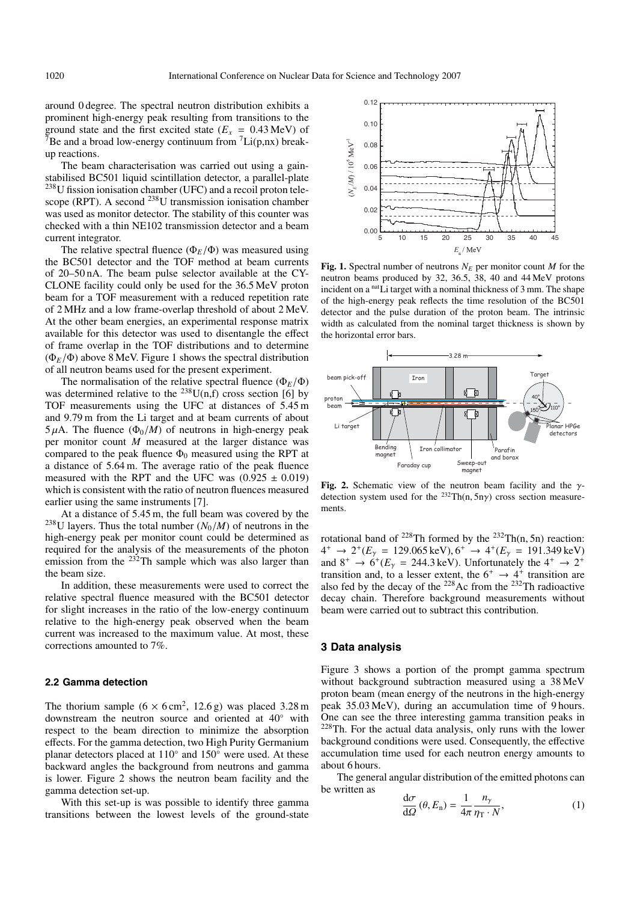around 0 degree. The spectral neutron distribution exhibits a prominent high-energy peak resulting from transitions to the ground state and the first excited state  $(E_x = 0.43 \text{ MeV})$  of <sup>7</sup>Be and a broad low-energy continuum from  ${}^{7}$ Li(p,nx) breakup reactions.

The beam characterisation was carried out using a gainstabilised BC501 liquid scintillation detector, a parallel-plate <sup>238</sup>U fission ionisation chamber (UFC) and a recoil proton telescope (RPT). A second  $^{238}$ U transmission ionisation chamber was used as monitor detector. The stability of this counter was checked with a thin NE102 transmission detector and a beam current integrator.

The relative spectral fluence  $(\Phi_F/\Phi)$  was measured using the BC501 detector and the TOF method at beam currents of 20–50 nA. The beam pulse selector available at the CY-CLONE facility could only be used for the 36.5 MeV proton beam for a TOF measurement with a reduced repetition rate of 2 MHz and a low frame-overlap threshold of about 2 MeV. At the other beam energies, an experimental response matrix available for this detector was used to disentangle the effect of frame overlap in the TOF distributions and to determine  $(\Phi_E/\Phi)$  above 8 MeV. Figure 1 shows the spectral distribution of all neutron beams used for the present experiment.

The normalisation of the relative spectral fluence ( $\Phi_E/\Phi$ ) was determined relative to the <sup>238</sup>U(n,f) cross section [6] by TOF measurements using the UFC at distances of 5.45 m and 9.79 m from the Li target and at beam currents of about  $5 \mu A$ . The fluence  $(\Phi_0/M)$  of neutrons in high-energy peak per monitor count *M* measured at the larger distance was compared to the peak fluence  $\Phi_0$  measured using the RPT at a distance of 5.64 m. The average ratio of the peak fluence measured with the RPT and the UFC was  $(0.925 \pm 0.019)$ which is consistent with the ratio of neutron fluences measured earlier using the same instruments [7].

At a distance of 5.45 m, the full beam was covered by the <sup>238</sup>U layers. Thus the total number  $(N_0/M)$  of neutrons in the high-energy peak per monitor count could be determined as required for the analysis of the measurements of the photon emission from the  $232$ Th sample which was also larger than the beam size.

In addition, these measurements were used to correct the relative spectral fluence measured with the BC501 detector for slight increases in the ratio of the low-energy continuum relative to the high-energy peak observed when the beam current was increased to the maximum value. At most, these corrections amounted to 7%.

#### **2.2 Gamma detection**

The thorium sample  $(6 \times 6 \text{ cm}^2, 12.6 \text{ g})$  was placed 3.28 m downstream the neutron source and oriented at 40◦ with respect to the beam direction to minimize the absorption effects. For the gamma detection, two High Purity Germanium planar detectors placed at 110◦ and 150◦ were used. At these backward angles the background from neutrons and gamma is lower. Figure 2 shows the neutron beam facility and the gamma detection set-up.

With this set-up is was possible to identify three gamma transitions between the lowest levels of the ground-state



**Fig. 1.** Spectral number of neutrons  $N_E$  per monitor count *M* for the neutron beams produced by 32, 36.5, 38, 40 and 44 MeV protons incident on a <sup>nat</sup>Li target with a nominal thickness of 3 mm. The shape of the high-energy peak reflects the time resolution of the BC501 detector and the pulse duration of the proton beam. The intrinsic width as calculated from the nominal target thickness is shown by the horizontal error bars.



**Fig. 2.** Schematic view of the neutron beam facility and the γdetection system used for the  $^{232}Th(n, 5n\gamma)$  cross section measurements.

rotational band of  $^{228}$ Th formed by the  $^{232}$ Th(n, 5n) reaction:  $4^+$  → 2<sup>+</sup>( $E_\gamma$  = 129.065 keV), 6<sup>+</sup> → 4<sup>+</sup>( $E_\gamma$  = 191.349 keV) and  $8^+ \rightarrow 6^+(E_\gamma = 244.3 \,\text{keV})$ . Unfortunately the  $4^+ \rightarrow 2^+$ transition and, to a lesser extent, the  $6^+ \rightarrow 4^+$  transition are also fed by the decay of the  $^{228}$ Ac from the  $^{232}$ Th radioactive decay chain. Therefore background measurements without beam were carried out to subtract this contribution.

#### **3 Data analysis**

Figure 3 shows a portion of the prompt gamma spectrum without background subtraction measured using a 38 MeV proton beam (mean energy of the neutrons in the high-energy peak 35.03 MeV), during an accumulation time of 9 hours. One can see the three interesting gamma transition peaks in <sup>228</sup>Th. For the actual data analysis, only runs with the lower background conditions were used. Consequently, the effective accumulation time used for each neutron energy amounts to about 6 hours.

The general angular distribution of the emitted photons can be written as

$$
\frac{\mathrm{d}\sigma}{\mathrm{d}\Omega}(\theta, E_{\rm n}) = \frac{1}{4\pi} \frac{n_{\gamma}}{\eta_{\rm T} \cdot N},\tag{1}
$$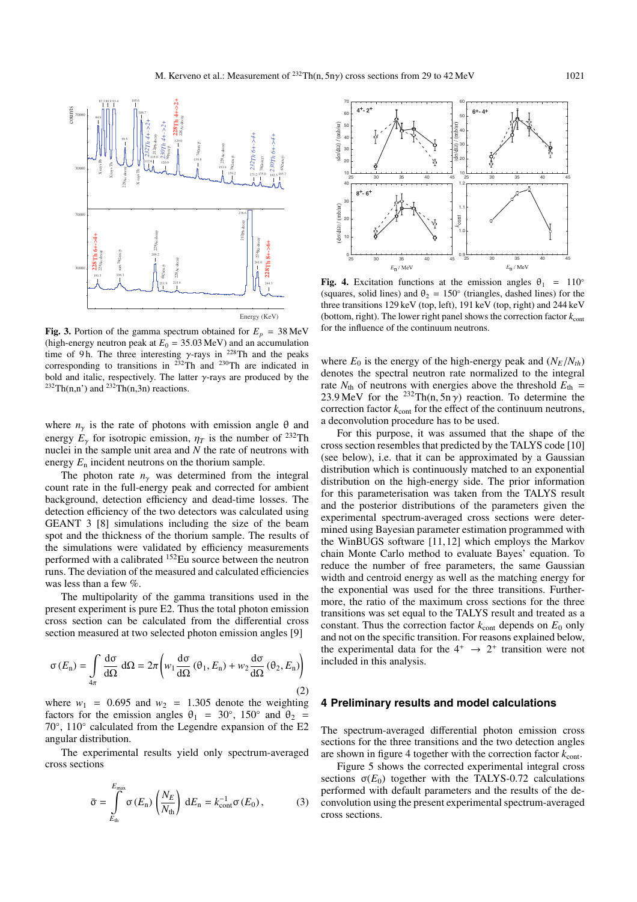

**Fig. 3.** Portion of the gamma spectrum obtained for  $E_p = 38 \text{ MeV}$ (high-energy neutron peak at  $E_0 = 35.03 \text{ MeV}$ ) and an accumulation time of 9 h. The three interesting  $\gamma$ -rays in <sup>228</sup>Th and the peaks corresponding to transitions in  $232$ Th and  $230$ Th are indicated in bold and italic, respectively. The latter  $\gamma$ -rays are produced by the <sup>232</sup>Th(n,n') and <sup>232</sup>Th(n,3n) reactions.

where  $n<sub>y</sub>$  is the rate of photons with emission angle  $\theta$  and energy  $E_\gamma$  for isotropic emission,  $\eta_T$  is the number of <sup>232</sup>Th nuclei in the sample unit area and *N* the rate of neutrons with energy *E*<sup>n</sup> incident neutrons on the thorium sample.

The photon rate  $n<sub>y</sub>$  was determined from the integral count rate in the full-energy peak and corrected for ambient background, detection efficiency and dead-time losses. The detection efficiency of the two detectors was calculated using GEANT 3 [8] simulations including the size of the beam spot and the thickness of the thorium sample. The results of the simulations were validated by efficiency measurements performed with a calibrated 152Eu source between the neutron runs. The deviation of the measured and calculated efficiencies was less than a few  $\%$ .

The multipolarity of the gamma transitions used in the present experiment is pure E2. Thus the total photon emission cross section can be calculated from the differential cross section measured at two selected photon emission angles [9]

$$
\sigma(E_n) = \int_{4\pi} \frac{d\sigma}{d\Omega} d\Omega = 2\pi \left( w_1 \frac{d\sigma}{d\Omega} (\theta_1, E_n) + w_2 \frac{d\sigma}{d\Omega} (\theta_2, E_n) \right)
$$
(2)

where  $w_1$  = 0.695 and  $w_2$  = 1.305 denote the weighting factors for the emission angles  $\theta_1 = 30^\circ$ , 150° and  $\theta_2 =$ 70◦, 110◦ calculated from the Legendre expansion of the E2 angular distribution.

The experimental results yield only spectrum-averaged cross sections

$$
\bar{\sigma} = \int_{E_{\text{th}}}^{E_{\text{max}}} \sigma(E_{\text{n}}) \left(\frac{N_E}{N_{\text{th}}}\right) dE_{\text{n}} = k_{\text{cont}}^{-1} \sigma(E_0), \qquad (3)
$$



**Fig. 4.** Excitation functions at the emission angles  $\theta_1 = 110^\circ$ (squares, solid lines) and  $\theta_2 = 150^\circ$  (triangles, dashed lines) for the three transitions 129 keV (top, left), 191 keV (top, right) and 244 keV (bottom, right). The lower right panel shows the correction factor  $k_{\text{cont}}$ for the influence of the continuum neutrons.

where  $E_0$  is the energy of the high-energy peak and  $(N_E/N_{th})$ denotes the spectral neutron rate normalized to the integral rate  $N_{\text{th}}$  of neutrons with energies above the threshold  $E_{\text{th}} =$ 23.9 MeV for the <sup>232</sup>Th(n, 5n  $\gamma$ ) reaction. To determine the correction factor  $k_{\text{cont}}$  for the effect of the continuum neutrons, a deconvolution procedure has to be used.

For this purpose, it was assumed that the shape of the cross section resembles that predicted by the TALYS code [10] (see below), i.e. that it can be approximated by a Gaussian distribution which is continuously matched to an exponential distribution on the high-energy side. The prior information for this parameterisation was taken from the TALYS result and the posterior distributions of the parameters given the experimental spectrum-averaged cross sections were determined using Bayesian parameter estimation programmed with the WinBUGS software [11,12] which employs the Markov chain Monte Carlo method to evaluate Bayes' equation. To reduce the number of free parameters, the same Gaussian width and centroid energy as well as the matching energy for the exponential was used for the three transitions. Furthermore, the ratio of the maximum cross sections for the three transitions was set equal to the TALYS result and treated as a constant. Thus the correction factor  $k_{\text{cont}}$  depends on  $E_0$  only and not on the specific transition. For reasons explained below, the experimental data for the  $4^+ \rightarrow 2^+$  transition were not included in this analysis.

#### **4 Preliminary results and model calculations**

The spectrum-averaged differential photon emission cross sections for the three transitions and the two detection angles are shown in figure 4 together with the correction factor  $k_{\text{cont}}$ .

Figure 5 shows the corrected experimental integral cross sections  $\sigma(E_0)$  together with the TALYS-0.72 calculations performed with default parameters and the results of the deconvolution using the present experimental spectrum-averaged cross sections.